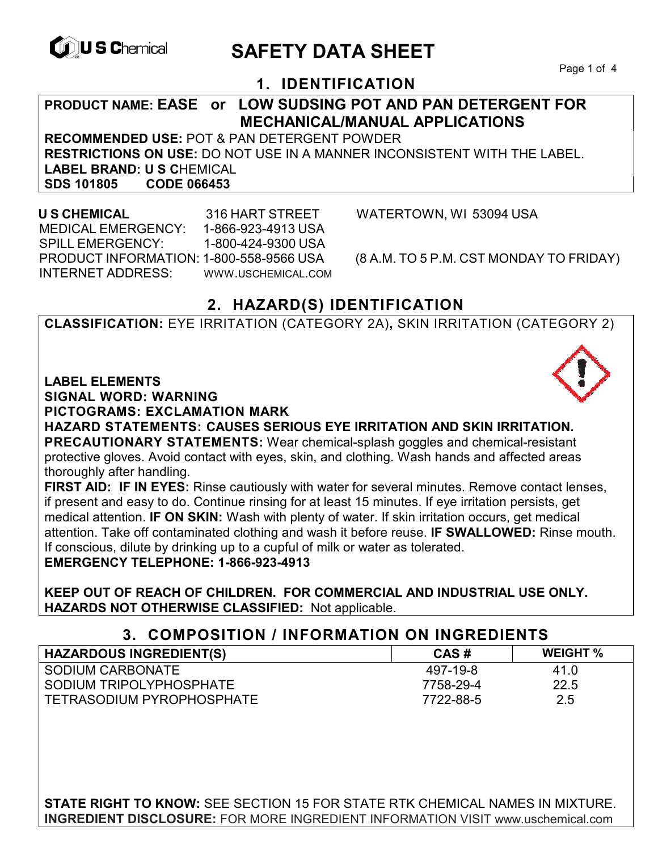

# **CONSCHIPTION CONTRACTED SAFETY DATA SHEET**

# **1. IDENTIFICATION**

**PRODUCT NAME: EASE or LOW SUDSING POT AND PAN DETERGENT FOR MECHANICAL/MANUAL APPLICATIONS** 

**RECOMMENDED USE:** POT & PAN DETERGENT POWDER **RESTRICTIONS ON USE:** DO NOT USE IN A MANNER INCONSISTENT WITH THE LABEL. **LABEL BRAND: U S C**HEMICAL **SDS 101805 CODE 066453** 

 MEDICAL EMERGENCY: 1-866-923-4913 USA SPILL EMERGENCY: 1-800-424-9300 USA PRODUCT INFORMATION: 1-800-558-9566 USA (8 A.M. TO 5 P.M. CST MONDAY TO FRIDAY) INTERNET ADDRESS: WWW.USCHEMICAL.COM

**U S CHEMICAL** 316 HART STREET WATERTOWN, WI 53094 USA

# **2. HAZARD(S) IDENTIFICATION**

**CLASSIFICATION:** EYE IRRITATION (CATEGORY 2A)**,** SKIN IRRITATION (CATEGORY 2)

#### **LABEL ELEMENTS**

**SIGNAL WORD: WARNING**

**PICTOGRAMS: EXCLAMATION MARK**

**HAZARD STATEMENTS: CAUSES SERIOUS EYE IRRITATION AND SKIN IRRITATION. PRECAUTIONARY STATEMENTS:** Wear chemical-splash goggles and chemical-resistant protective gloves. Avoid contact with eyes, skin, and clothing. Wash hands and affected areas thoroughly after handling.

**FIRST AID: IF IN EYES:** Rinse cautiously with water for several minutes. Remove contact lenses, if present and easy to do. Continue rinsing for at least 15 minutes. If eye irritation persists, get medical attention. **IF ON SKIN:** Wash with plenty of water. If skin irritation occurs, get medical attention. Take off contaminated clothing and wash it before reuse. **IF SWALLOWED:** Rinse mouth. If conscious, dilute by drinking up to a cupful of milk or water as tolerated.

#### **EMERGENCY TELEPHONE: 1-866-923-4913**

**KEEP OUT OF REACH OF CHILDREN. FOR COMMERCIAL AND INDUSTRIAL USE ONLY. HAZARDS NOT OTHERWISE CLASSIFIED:** Not applicable.

## **3. COMPOSITION / INFORMATION ON INGREDIENTS**

| <b>HAZARDOUS INGREDIENT(S)</b> | CAS#      | <b>WEIGHT %</b> |
|--------------------------------|-----------|-----------------|
| SODIUM CARBONATE               | 497-19-8  | 41.0            |
| I SODIUM TRIPOLYPHOSPHATE      | 7758-29-4 | 22.5            |
| TETRASODIUM PYROPHOSPHATE      | 7722-88-5 | 2.5             |

**STATE RIGHT TO KNOW:** SEE SECTION 15 FOR STATE RTK CHEMICAL NAMES IN MIXTURE. **INGREDIENT DISCLOSURE:** FOR MORE INGREDIENT INFORMATION VISIT www.uschemical.com

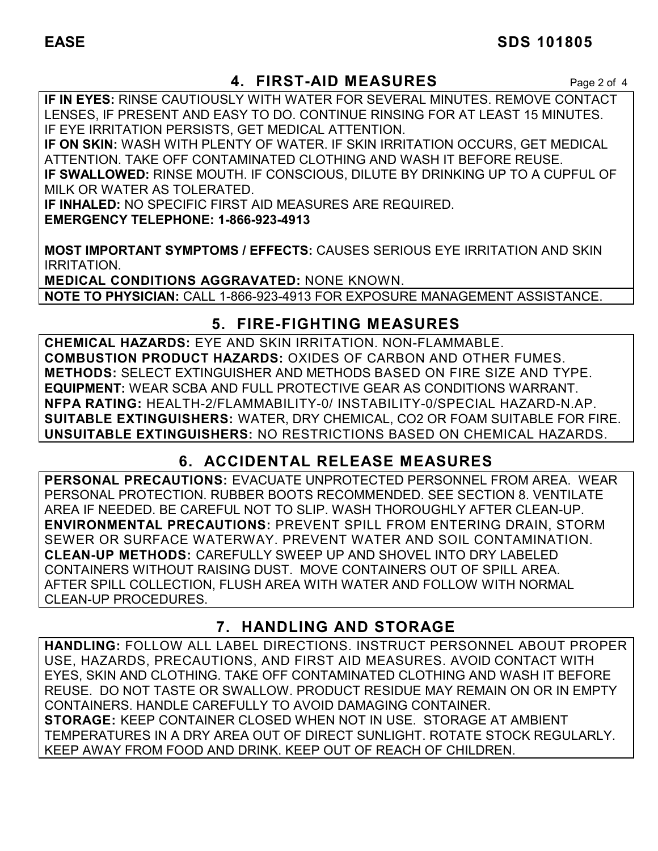# **4. FIRST-AID MEASURES** Page 2 of 4

**IF IN EYES:** RINSE CAUTIOUSLY WITH WATER FOR SEVERAL MINUTES. REMOVE CONTACT LENSES, IF PRESENT AND EASY TO DO. CONTINUE RINSING FOR AT LEAST 15 MINUTES. IF EYE IRRITATION PERSISTS, GET MEDICAL ATTENTION.

**IF ON SKIN:** WASH WITH PLENTY OF WATER. IF SKIN IRRITATION OCCURS, GET MEDICAL ATTENTION. TAKE OFF CONTAMINATED CLOTHING AND WASH IT BEFORE REUSE. **IF SWALLOWED:** RINSE MOUTH. IF CONSCIOUS, DILUTE BY DRINKING UP TO A CUPFUL OF MILK OR WATER AS TOLERATED.

**IF INHALED:** NO SPECIFIC FIRST AID MEASURES ARE REQUIRED. **EMERGENCY TELEPHONE: 1-866-923-4913** 

**MOST IMPORTANT SYMPTOMS / EFFECTS:** CAUSES SERIOUS EYE IRRITATION AND SKIN IRRITATION.

**MEDICAL CONDITIONS AGGRAVATED:** NONE KNOWN. **NOTE TO PHYSICIAN:** CALL 1-866-923-4913 FOR EXPOSURE MANAGEMENT ASSISTANCE.

# **5. FIRE-FIGHTING MEASURES**

**CHEMICAL HAZARDS:** EYE AND SKIN IRRITATION. NON-FLAMMABLE. **COMBUSTION PRODUCT HAZARDS:** OXIDES OF CARBON AND OTHER FUMES. **METHODS:** SELECT EXTINGUISHER AND METHODS BASED ON FIRE SIZE AND TYPE. **EQUIPMENT:** WEAR SCBA AND FULL PROTECTIVE GEAR AS CONDITIONS WARRANT. **NFPA RATING:** HEALTH-2/FLAMMABILITY-0/ INSTABILITY-0/SPECIAL HAZARD-N.AP. **SUITABLE EXTINGUISHERS:** WATER, DRY CHEMICAL, CO2 OR FOAM SUITABLE FOR FIRE. **UNSUITABLE EXTINGUISHERS:** NO RESTRICTIONS BASED ON CHEMICAL HAZARDS.

# **6. ACCIDENTAL RELEASE MEASURES**

**PERSONAL PRECAUTIONS:** EVACUATE UNPROTECTED PERSONNEL FROM AREA. WEAR PERSONAL PROTECTION. RUBBER BOOTS RECOMMENDED. SEE SECTION 8. VENTILATE AREA IF NEEDED. BE CAREFUL NOT TO SLIP. WASH THOROUGHLY AFTER CLEAN-UP. **ENVIRONMENTAL PRECAUTIONS:** PREVENT SPILL FROM ENTERING DRAIN, STORM SEWER OR SURFACE WATERWAY. PREVENT WATER AND SOIL CONTAMINATION. **CLEAN-UP METHODS:** CAREFULLY SWEEP UP AND SHOVEL INTO DRY LABELED CONTAINERS WITHOUT RAISING DUST. MOVE CONTAINERS OUT OF SPILL AREA. AFTER SPILL COLLECTION, FLUSH AREA WITH WATER AND FOLLOW WITH NORMAL CLEAN-UP PROCEDURES.

# **7. HANDLING AND STORAGE**

**HANDLING:** FOLLOW ALL LABEL DIRECTIONS. INSTRUCT PERSONNEL ABOUT PROPER USE, HAZARDS, PRECAUTIONS, AND FIRST AID MEASURES. AVOID CONTACT WITH EYES, SKIN AND CLOTHING. TAKE OFF CONTAMINATED CLOTHING AND WASH IT BEFORE REUSE. DO NOT TASTE OR SWALLOW. PRODUCT RESIDUE MAY REMAIN ON OR IN EMPTY CONTAINERS. HANDLE CAREFULLY TO AVOID DAMAGING CONTAINER. **STORAGE:** KEEP CONTAINER CLOSED WHEN NOT IN USE. STORAGE AT AMBIENT TEMPERATURES IN A DRY AREA OUT OF DIRECT SUNLIGHT. ROTATE STOCK REGULARLY. KEEP AWAY FROM FOOD AND DRINK. KEEP OUT OF REACH OF CHILDREN.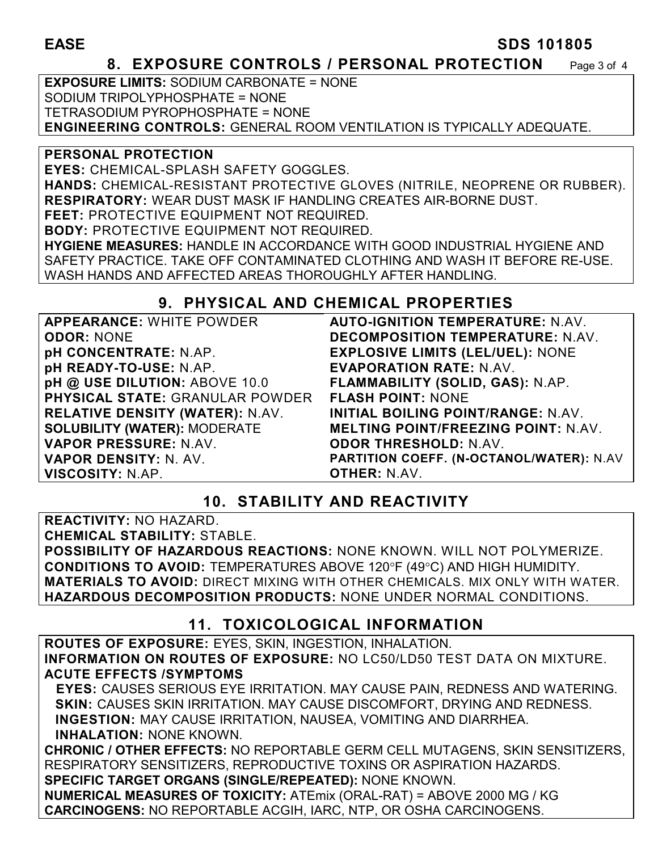# **EASE** SDS 101805

#### **8. EXPOSURE CONTROLS / PERSONAL PROTECTION** Page 3 of 4

**EXPOSURE LIMITS:** SODIUM CARBONATE = NONE SODIUM TRIPOLYPHOSPHATE = NONE TETRASODIUM PYROPHOSPHATE = NONE **ENGINEERING CONTROLS:** GENERAL ROOM VENTILATION IS TYPICALLY ADEQUATE.

#### **PERSONAL PROTECTION**

**EYES:** CHEMICAL-SPLASH SAFETY GOGGLES.

**HANDS:** CHEMICAL-RESISTANT PROTECTIVE GLOVES (NITRILE, NEOPRENE OR RUBBER). **RESPIRATORY:** WEAR DUST MASK IF HANDLING CREATES AIR-BORNE DUST.

**FEET:** PROTECTIVE EQUIPMENT NOT REQUIRED.

**BODY:** PROTECTIVE EQUIPMENT NOT REQUIRED.

**HYGIENE MEASURES:** HANDLE IN ACCORDANCE WITH GOOD INDUSTRIAL HYGIENE AND SAFETY PRACTICE. TAKE OFF CONTAMINATED CLOTHING AND WASH IT BEFORE RE-USE. WASH HANDS AND AFFECTED AREAS THOROUGHLY AFTER HANDLING.

# **9. PHYSICAL AND CHEMICAL PROPERTIES**

| <b>APPEARANCE: WHITE POWDER</b>        |
|----------------------------------------|
| <b>ODOR: NONE</b>                      |
| <b>pH CONCENTRATE: N.AP.</b>           |
| pH READY-TO-USE: N.AP.                 |
| pH @ USE DILUTION: ABOVE 10.0          |
| <b>PHYSICAL STATE: GRANULAR POWDER</b> |
| <b>RELATIVE DENSITY (WATER): N.AV.</b> |
| <b>SOLUBILITY (WATER): MODERATE</b>    |
| <b>VAPOR PRESSURE: N.AV.</b>           |
| <b>VAPOR DENSITY: N. AV.</b>           |
| VISCOSITY: N.AP.                       |

**AUTO-IGNITION TEMPERATURE:** N.AV. **DECOMPOSITION TEMPERATURE:** N.AV. **EXPLOSIVE LIMITS (LEL/UEL):** NONE **EVAPORATION RATE:** N.AV. **FLAMMABILITY (SOLID, GAS):** N.AP. **FLASH POINT:** NONE **INITIAL BOILING POINT/RANGE:** N.AV. **MELTING POINT/FREEZING POINT:** N.AV. **ODOR THRESHOLD:** N.AV. **PARTITION COEFF. (N-OCTANOL/WATER):** N.AV **OTHER:** N.AV.

# **10. STABILITY AND REACTIVITY**

**REACTIVITY:** NO HAZARD. **CHEMICAL STABILITY:** STABLE. **POSSIBILITY OF HAZARDOUS REACTIONS:** NONE KNOWN. WILL NOT POLYMERIZE. **CONDITIONS TO AVOID: TEMPERATURES ABOVE 120°F (49°C) AND HIGH HUMIDITY. MATERIALS TO AVOID:** DIRECT MIXING WITH OTHER CHEMICALS. MIX ONLY WITH WATER. **HAZARDOUS DECOMPOSITION PRODUCTS:** NONE UNDER NORMAL CONDITIONS.

# **11. TOXICOLOGICAL INFORMATION**

**ROUTES OF EXPOSURE:** EYES, SKIN, INGESTION, INHALATION. **INFORMATION ON ROUTES OF EXPOSURE:** NO LC50/LD50 TEST DATA ON MIXTURE. **ACUTE EFFECTS /SYMPTOMS** 

 **EYES:** CAUSES SERIOUS EYE IRRITATION. MAY CAUSE PAIN, REDNESS AND WATERING. **SKIN:** CAUSES SKIN IRRITATION. MAY CAUSE DISCOMFORT, DRYING AND REDNESS. **INGESTION:** MAY CAUSE IRRITATION, NAUSEA, VOMITING AND DIARRHEA. **INHALATION:** NONE KNOWN.

**CHRONIC / OTHER EFFECTS:** NO REPORTABLE GERM CELL MUTAGENS, SKIN SENSITIZERS, RESPIRATORY SENSITIZERS, REPRODUCTIVE TOXINS OR ASPIRATION HAZARDS. **SPECIFIC TARGET ORGANS (SINGLE/REPEATED):** NONE KNOWN.

**NUMERICAL MEASURES OF TOXICITY:** ATEmix (ORAL-RAT) = ABOVE 2000 MG / KG **CARCINOGENS:** NO REPORTABLE ACGIH, IARC, NTP, OR OSHA CARCINOGENS.